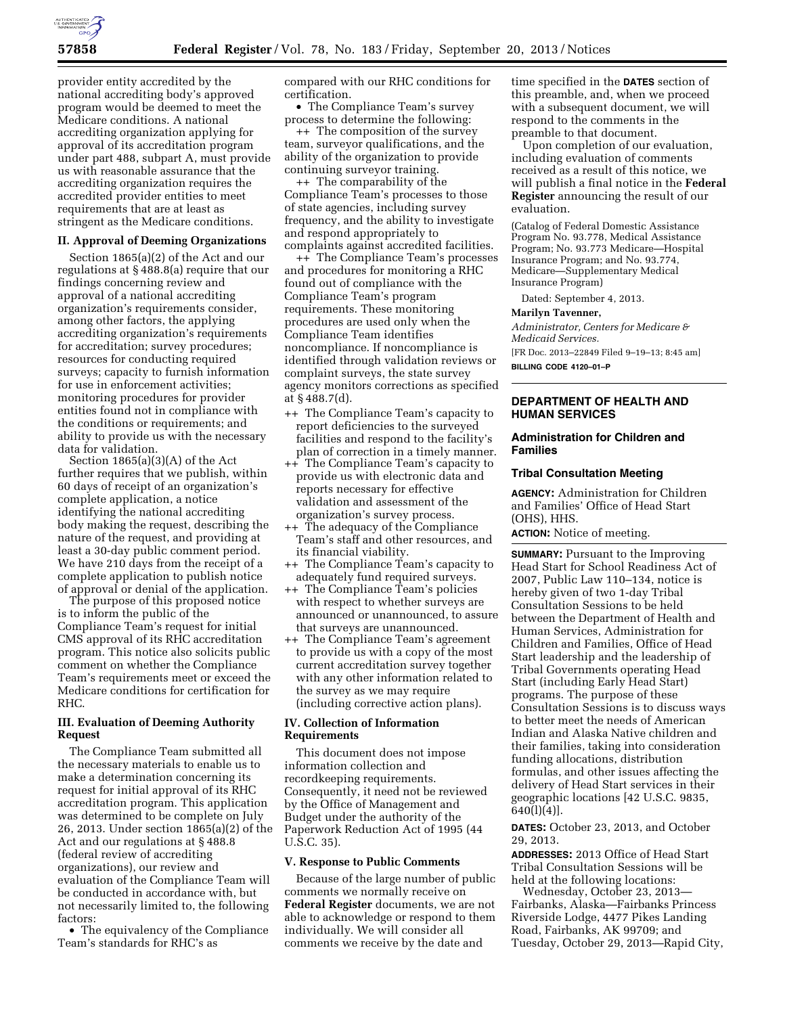

provider entity accredited by the national accrediting body's approved program would be deemed to meet the Medicare conditions. A national accrediting organization applying for approval of its accreditation program under part 488, subpart A, must provide us with reasonable assurance that the accrediting organization requires the accredited provider entities to meet requirements that are at least as stringent as the Medicare conditions.

### **II. Approval of Deeming Organizations**

Section 1865(a)(2) of the Act and our regulations at § 488.8(a) require that our findings concerning review and approval of a national accrediting organization's requirements consider, among other factors, the applying accrediting organization's requirements for accreditation; survey procedures; resources for conducting required surveys; capacity to furnish information for use in enforcement activities; monitoring procedures for provider entities found not in compliance with the conditions or requirements; and ability to provide us with the necessary data for validation.

Section 1865(a)(3)(A) of the Act further requires that we publish, within 60 days of receipt of an organization's complete application, a notice identifying the national accrediting body making the request, describing the nature of the request, and providing at least a 30-day public comment period. We have 210 days from the receipt of a complete application to publish notice of approval or denial of the application.

The purpose of this proposed notice is to inform the public of the Compliance Team's request for initial CMS approval of its RHC accreditation program. This notice also solicits public comment on whether the Compliance Team's requirements meet or exceed the Medicare conditions for certification for RHC.

# **III. Evaluation of Deeming Authority Request**

The Compliance Team submitted all the necessary materials to enable us to make a determination concerning its request for initial approval of its RHC accreditation program. This application was determined to be complete on July 26, 2013. Under section 1865(a)(2) of the Act and our regulations at § 488.8 (federal review of accrediting organizations), our review and evaluation of the Compliance Team will be conducted in accordance with, but not necessarily limited to, the following factors:

• The equivalency of the Compliance Team's standards for RHC's as

compared with our RHC conditions for certification.

• The Compliance Team's survey process to determine the following:

++ The composition of the survey team, surveyor qualifications, and the ability of the organization to provide continuing surveyor training.

++ The comparability of the Compliance Team's processes to those of state agencies, including survey frequency, and the ability to investigate and respond appropriately to complaints against accredited facilities.

++ The Compliance Team's processes and procedures for monitoring a RHC found out of compliance with the Compliance Team's program requirements. These monitoring procedures are used only when the Compliance Team identifies noncompliance. If noncompliance is identified through validation reviews or complaint surveys, the state survey agency monitors corrections as specified at § 488.7(d).

- ++ The Compliance Team's capacity to report deficiencies to the surveyed facilities and respond to the facility's plan of correction in a timely manner.
- ++ The Compliance Team's capacity to provide us with electronic data and reports necessary for effective validation and assessment of the organization's survey process.
- ++ The adequacy of the Compliance Team's staff and other resources, and its financial viability.
- ++ The Compliance Team's capacity to adequately fund required surveys.
- ++ The Compliance Team's policies with respect to whether surveys are announced or unannounced, to assure that surveys are unannounced.
- ++ The Compliance Team's agreement to provide us with a copy of the most current accreditation survey together with any other information related to the survey as we may require (including corrective action plans).

### **IV. Collection of Information Requirements**

This document does not impose information collection and recordkeeping requirements. Consequently, it need not be reviewed by the Office of Management and Budget under the authority of the Paperwork Reduction Act of 1995 (44 U.S.C. 35).

#### **V. Response to Public Comments**

Because of the large number of public comments we normally receive on **Federal Register** documents, we are not able to acknowledge or respond to them individually. We will consider all comments we receive by the date and

time specified in the **DATES** section of this preamble, and, when we proceed with a subsequent document, we will respond to the comments in the preamble to that document.

Upon completion of our evaluation, including evaluation of comments received as a result of this notice, we will publish a final notice in the **Federal Register** announcing the result of our evaluation.

(Catalog of Federal Domestic Assistance Program No. 93.778, Medical Assistance Program; No. 93.773 Medicare—Hospital Insurance Program; and No. 93.774, Medicare—Supplementary Medical Insurance Program)

Dated: September 4, 2013.

### **Marilyn Tavenner,**

*Administrator, Centers for Medicare & Medicaid Services.* 

[FR Doc. 2013–22849 Filed 9–19–13; 8:45 am]

**BILLING CODE 4120–01–P** 

# **DEPARTMENT OF HEALTH AND HUMAN SERVICES**

### **Administration for Children and Families**

### **Tribal Consultation Meeting**

**AGENCY:** Administration for Children and Families' Office of Head Start (OHS), HHS.

**ACTION:** Notice of meeting.

**SUMMARY:** Pursuant to the Improving Head Start for School Readiness Act of 2007, Public Law 110–134, notice is hereby given of two 1-day Tribal Consultation Sessions to be held between the Department of Health and Human Services, Administration for Children and Families, Office of Head Start leadership and the leadership of Tribal Governments operating Head Start (including Early Head Start) programs. The purpose of these Consultation Sessions is to discuss ways to better meet the needs of American Indian and Alaska Native children and their families, taking into consideration funding allocations, distribution formulas, and other issues affecting the delivery of Head Start services in their geographic locations [42 U.S.C. 9835,  $640(l)(4)$ ].

**DATES:** October 23, 2013, and October 29, 2013.

**ADDRESSES:** 2013 Office of Head Start Tribal Consultation Sessions will be held at the following locations:

Wednesday, October 23, 2013— Fairbanks, Alaska—Fairbanks Princess Riverside Lodge, 4477 Pikes Landing Road, Fairbanks, AK 99709; and Tuesday, October 29, 2013—Rapid City,